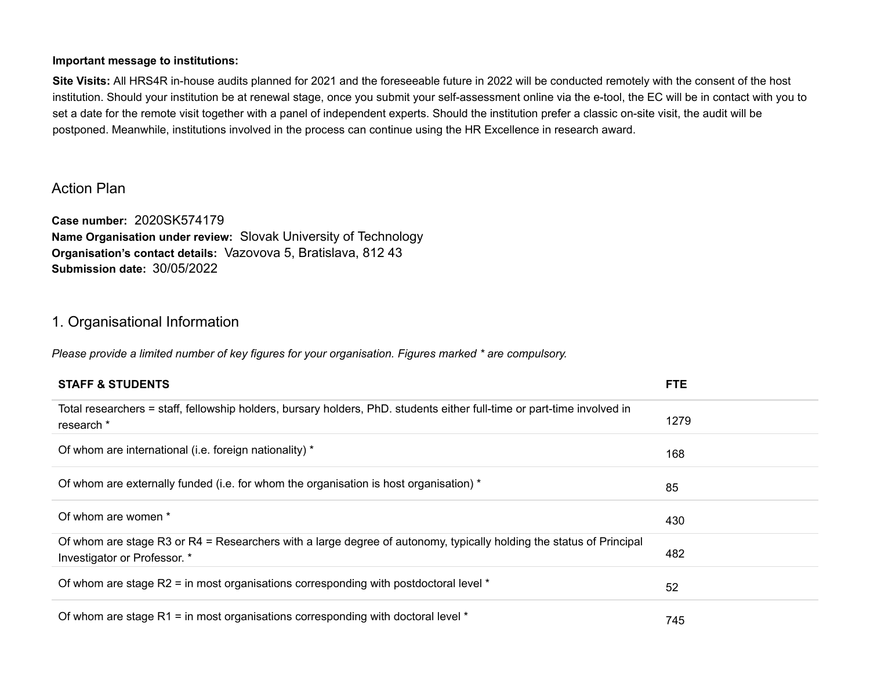### **Important message to institutions:**

**Site Visits:** All HRS4R in-house audits planned for 2021 and the foreseeable future in 2022 will be conducted remotely with the consent of the host institution. Should your institution be at renewal stage, once you submit your self-assessment online via the e-tool, the EC will be in contact with you to set a date for the remote visit together with a panel of independent experts. Should the institution prefer a classic on-site visit, the audit will be postponed. Meanwhile, institutions involved in the process can continue using the HR Excellence in research award.

# Action Plan

**Case number:** 2020SK574179 **Name Organisation under review:** Slovak University of Technology **Organisation's contact details:** Vazovova 5, Bratislava, 812 43 **Submission date:** 30/05/2022

# 1. Organisational Information

*Please provide a limited number of key figures for your organisation. Figures marked \* are compulsory.*

| <b>STAFF &amp; STUDENTS</b>                                                                                                                         | <b>FTE</b> |
|-----------------------------------------------------------------------------------------------------------------------------------------------------|------------|
| Total researchers = staff, fellowship holders, bursary holders, PhD. students either full-time or part-time involved in<br>research *               | 1279       |
| Of whom are international (i.e. foreign nationality) *                                                                                              | 168        |
| Of whom are externally funded (i.e. for whom the organisation is host organisation) *                                                               | 85         |
| Of whom are women *                                                                                                                                 | 430        |
| Of whom are stage R3 or R4 = Researchers with a large degree of autonomy, typically holding the status of Principal<br>Investigator or Professor. * | 482        |
| Of whom are stage R2 = in most organisations corresponding with postdoctoral level $*$                                                              | 52         |
| Of whom are stage R1 = in most organisations corresponding with doctoral level $*$                                                                  | 745        |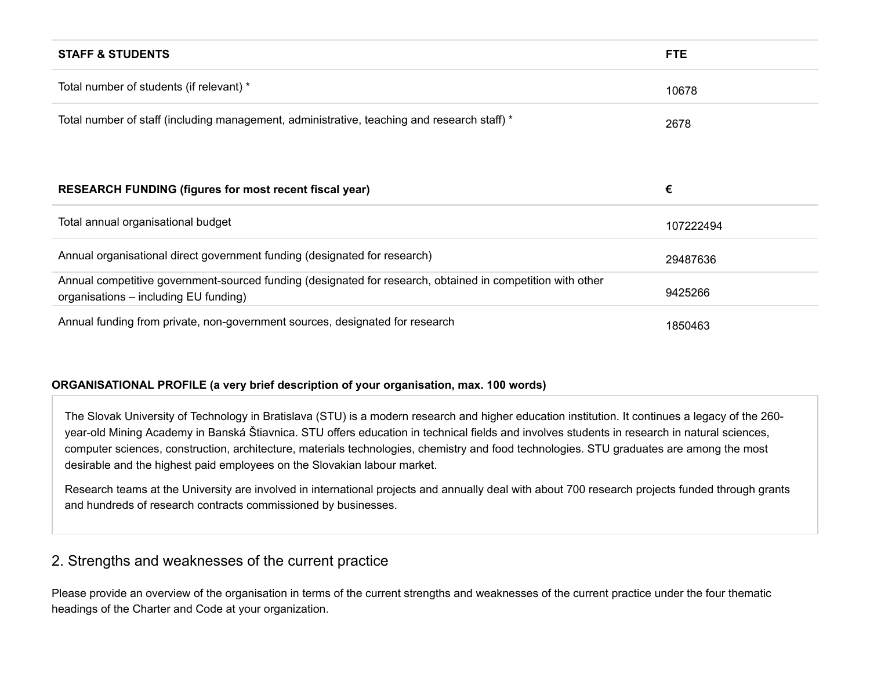| <b>STAFF &amp; STUDENTS</b>                                                                                                                         | <b>FTE</b> |
|-----------------------------------------------------------------------------------------------------------------------------------------------------|------------|
| Total number of students (if relevant) *                                                                                                            | 10678      |
| Total number of staff (including management, administrative, teaching and research staff) *                                                         | 2678       |
|                                                                                                                                                     |            |
| <b>RESEARCH FUNDING (figures for most recent fiscal year)</b>                                                                                       | €          |
| Total annual organisational budget                                                                                                                  | 107222494  |
| Annual organisational direct government funding (designated for research)                                                                           | 29487636   |
| Annual competitive government-sourced funding (designated for research, obtained in competition with other<br>organisations – including EU funding) | 9425266    |
| Annual funding from private, non-government sources, designated for research                                                                        | 1850463    |

## **ORGANISATIONAL PROFILE (a very brief description of your organisation, max. 100 words)**

The Slovak University of Technology in Bratislava (STU) is a modern research and higher education institution. It continues a legacy of the 260 year-old Mining Academy in Banská Štiavnica. STU offers education in technical fields and involves students in research in natural sciences, computer sciences, construction, architecture, materials technologies, chemistry and food technologies. STU graduates are among the most desirable and the highest paid employees on the Slovakian labour market.

Research teams at the University are involved in international projects and annually deal with about 700 research projects funded through grants and hundreds of research contracts commissioned by businesses.

# 2. Strengths and weaknesses of the current practice

Please provide an overview of the organisation in terms of the current strengths and weaknesses of the current practice under the four thematic headings of the Charter and Code at your organization.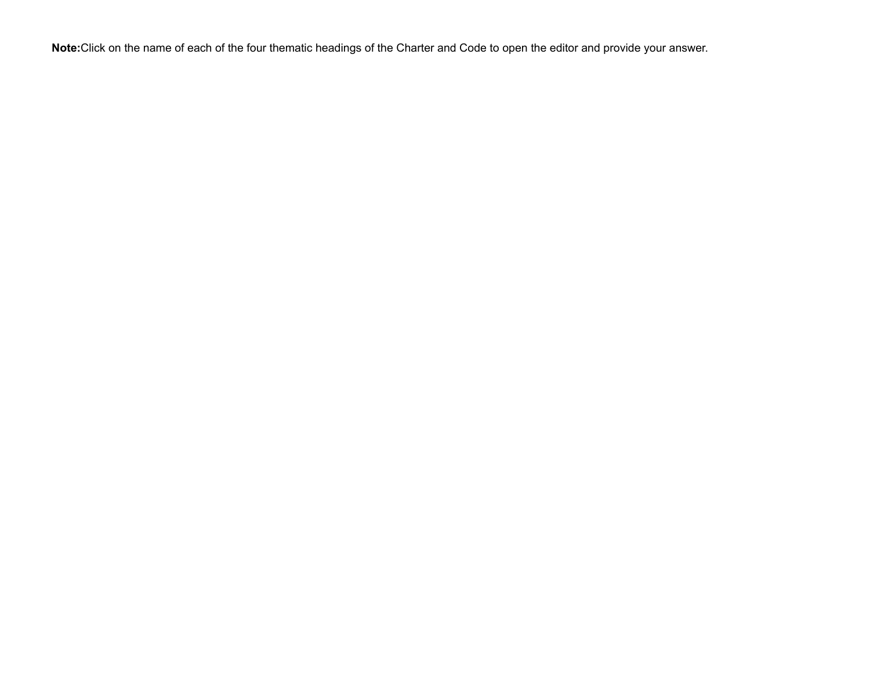**Note:**Click on the name of each of the four thematic headings of the Charter and Code to open the editor and provide your answer.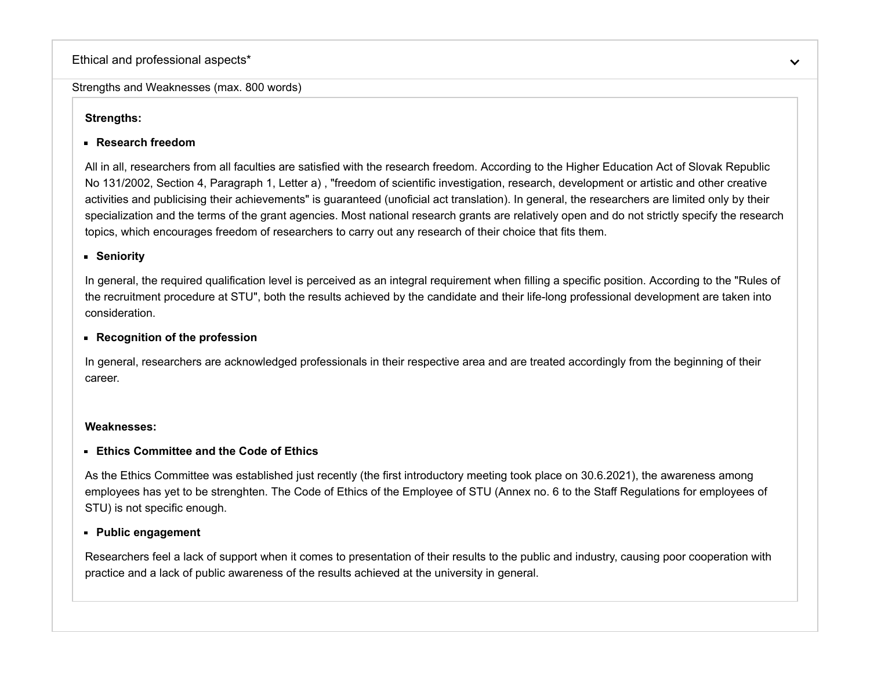## Ethical and professional aspects\*

### Strengths and Weaknesses (max. 800 words)

# **Strengths:**

# **Research freedom**

All in all, researchers from all faculties are satisfied with the research freedom. According to the Higher Education Act of Slovak Republic No 131/2002, Section 4, Paragraph 1, Letter a) , "freedom of scientific investigation, research, development or artistic and other creative activities and publicising their achievements" is guaranteed ([unoficial act translation](https://www.unipo.sk/public/media/files/docs/u/eng/act_131_29_11_2005.pdf)). In general, the researchers are limited only by their specialization and the terms of the grant agencies. Most national research grants are relatively open and do not strictly specify the research topics, which encourages freedom of researchers to carry out any research of their choice that fits them.

## **Seniority**

[In general, the required qualification level is perceived as an integral requirement when filling a specific position. According to the "Rules of](https://www.stuba.sk/buxus/docs/stu/pracoviska/rektorat/odd_veda_vyskum/HRS4R/Rules_of_the_recruitment_procedure_at_STU.pdf) the recruitment procedure at STU", both the results achieved by the candidate and their life-long professional development are taken into consideration.

## **Recognition of the profession**

In general, researchers are acknowledged professionals in their respective area and are treated accordingly from the beginning of their career.

## **Weaknesses:**

# **Ethics Committee and the Code of Ethics**

As the Ethics Committee was established just recently (the first introductory [meeting](https://www.stuba.sk/sk/stu/akademicke-a-samospravne-organy/eticka-komisia/zasadnutia.html?page_id=14370) took place on 30.6.2021), the awareness among [employees has yet to be strenghten. The Code of Ethics of the Employee of STU \(Annex no. 6 to the](https://www.stuba.sk/buxus/docs/stu/pracoviska/rektorat/odd_veda_vyskum/HRS4R/Staff_Regulations_of_STU.pdf) Staff Regulations for employees of STU) is not specific enough.

# **Public engagement**

Researchers feel a lack of support when it comes to presentation of their results to the public and industry, causing poor cooperation with practice and a lack of public awareness of the results achieved at the university in general.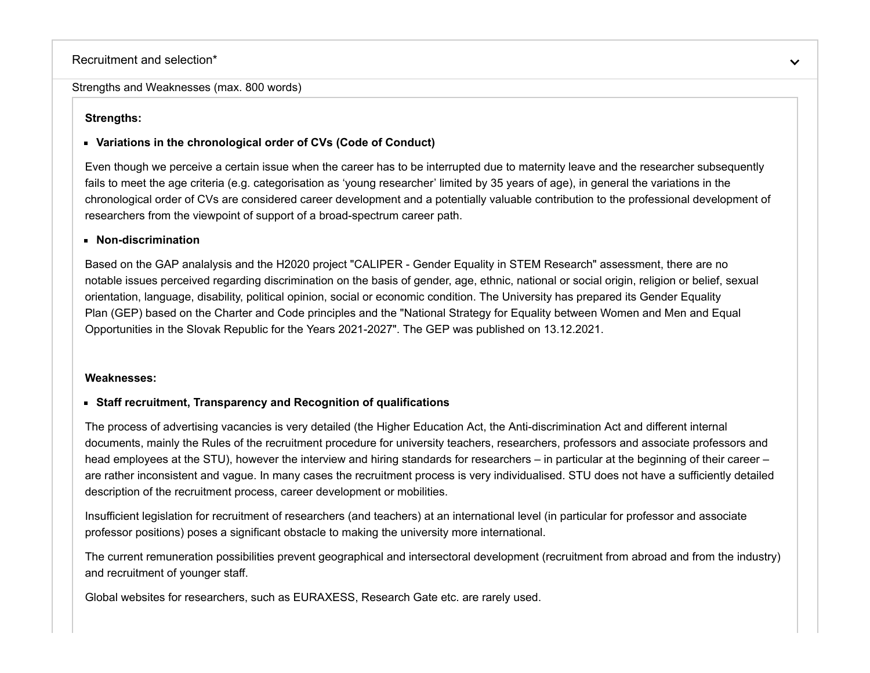### Recruitment and selection\*

Strengths and Weaknesses (max. 800 words)

## **Strengths:**

## **Variations in the chronological order of CVs (Code of Conduct)**

Even though we perceive a certain issue when the career has to be interrupted due to maternity leave and the researcher subsequently fails to meet the age criteria (e.g. categorisation as 'young researcher' limited by 35 years of age), in general the variations in the chronological order of CVs are considered career development and a potentially valuable contribution to the professional development of researchers from the viewpoint of support of a broad-spectrum career path.

### **Non-discrimination**

Based on the GAP analalysis and the H2020 project "[CALIPER - Gender Equality in STEM Research"](https://caliper-project.eu/stu-bas-gep-is-now-approved-and-published/) assessment, there are no notable issues perceived regarding discrimination on the basis of gender, age, ethnic, national or social origin, religion or belief, sexual [orientation, language, disability, political opinion, social or economic condition. The University has prepared its Gender Equality](https://www.stuba.sk/buxus/docs/stu/uradna_tabula/2021/Gender_equality_strategy.pdf) Plan (GEP) based on the Charter and Code principles and the "National Strategy for Equality between Women and Men and Equal Opportunities in the Slovak Republic for the Years 2021-2027". The GEP was published on 13.12.2021.

#### **Weaknesses:**

## **Staff recruitment, Transparency and Recognition of qualifications**

The process of advertising vacancies is very detailed (the Higher Education Act, the Anti-discrimination Act and different internal [documents, mainly the Rules of the recruitment procedure for university teachers, researchers, professors and associate professors and](https://www.stuba.sk/buxus/docs/stu/pracoviska/rektorat/odd_veda_vyskum/HRS4R/Rules_of_the_recruitment_procedure_at_STU.pdf) head employees at the STU), however the interview and hiring standards for researchers – in particular at the beginning of their career – are rather inconsistent and vague. In many cases the recruitment process is very individualised. STU does not have a sufficiently detailed description of the recruitment process, career development or mobilities.

Insufficient legislation for recruitment of researchers (and teachers) at an international level (in particular for professor and associate professor positions) poses a significant obstacle to making the university more international.

The current remuneration possibilities prevent geographical and intersectoral development (recruitment from abroad and from the industry) and recruitment of younger staff.

Global websites for researchers, such as EURAXESS, Research Gate etc. are rarely used.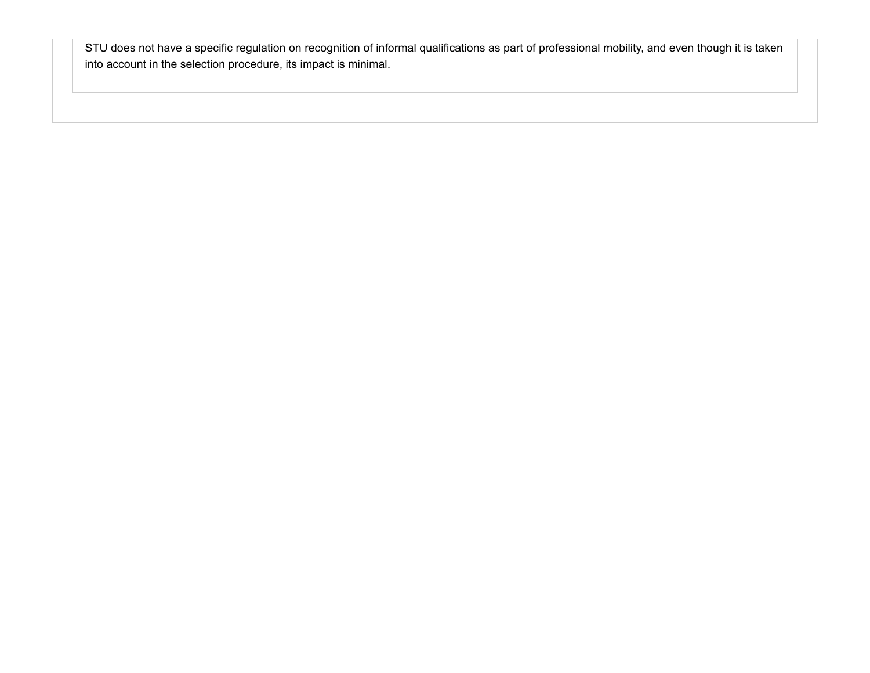STU does not have a specific regulation on recognition of informal qualifications as part of professional mobility, and even though it is taken into account in the selection procedure, its impact is minimal.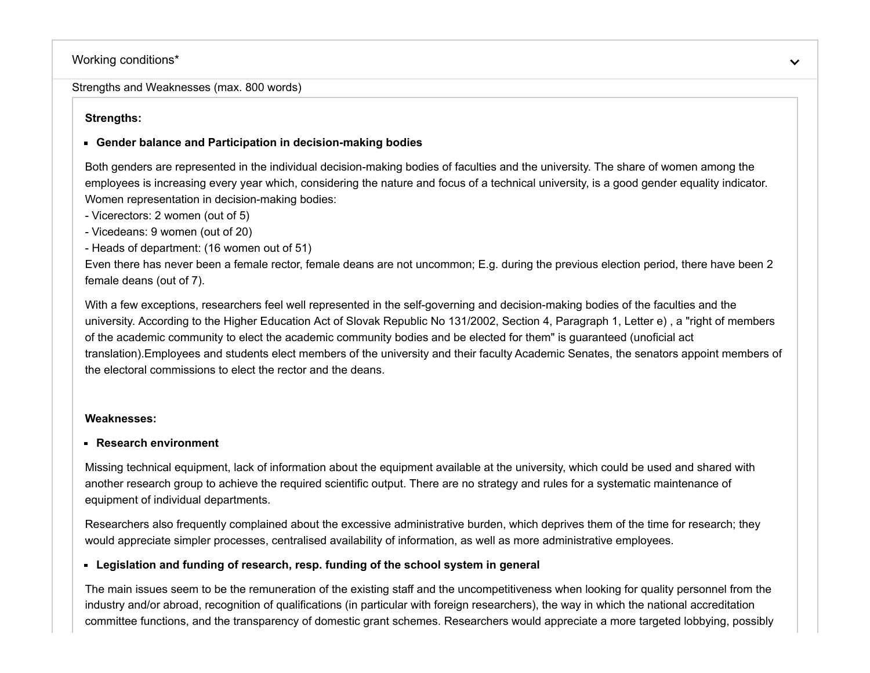# Working conditions\*

Strengths and Weaknesses (max. 800 words)

## **Strengths:**

## **Gender balance and Participation in decision-making bodies**

Both genders are represented in the individual decision-making bodies of faculties and the university. The share of women among the employees is increasing every year which, considering the nature and focus of a technical university, is a good gender equality indicator. Women representation in decision-making bodies:

- Vicerectors: 2 women (out of 5)
- Vicedeans: 9 women (out of 20)
- Heads of department: (16 women out of 51)

Even there has never been a female rector, female deans are not uncommon; E.g. during the previous election period, there have been 2 female deans (out of 7).

With a few exceptions, researchers feel well represented in the self-governing and decision-making bodies of the faculties and the university. According to the Higher Education Act of Slovak Republic No 131/2002, Section 4, Paragraph 1, Letter e) , a "right of members [of the academic community to elect the academic community bodies and be elected for them" is](https://www.unipo.sk/public/media/files/docs/u/eng/act_131_29_11_2005.pdf) guaranteed (unoficial act translation).Employees and students elect members of the university and their faculty Academic Senates, the senators appoint members of the electoral commissions to elect the rector and the deans.

## **Weaknesses:**

## **Research environment**

Missing technical equipment, lack of information about the equipment available at the university, which could be used and shared with another research group to achieve the required scientific output. There are no strategy and rules for a systematic maintenance of equipment of individual departments.

Researchers also frequently complained about the excessive administrative burden, which deprives them of the time for research; they would appreciate simpler processes, centralised availability of information, as well as more administrative employees.

# **Legislation and funding of research, resp. funding of the school system in general**

The main issues seem to be the remuneration of the existing staff and the uncompetitiveness when looking for quality personnel from the industry and/or abroad, recognition of qualifications (in particular with foreign researchers), the way in which the national accreditation committee functions, and the transparency of domestic grant schemes. Researchers would appreciate a more targeted lobbying, possibly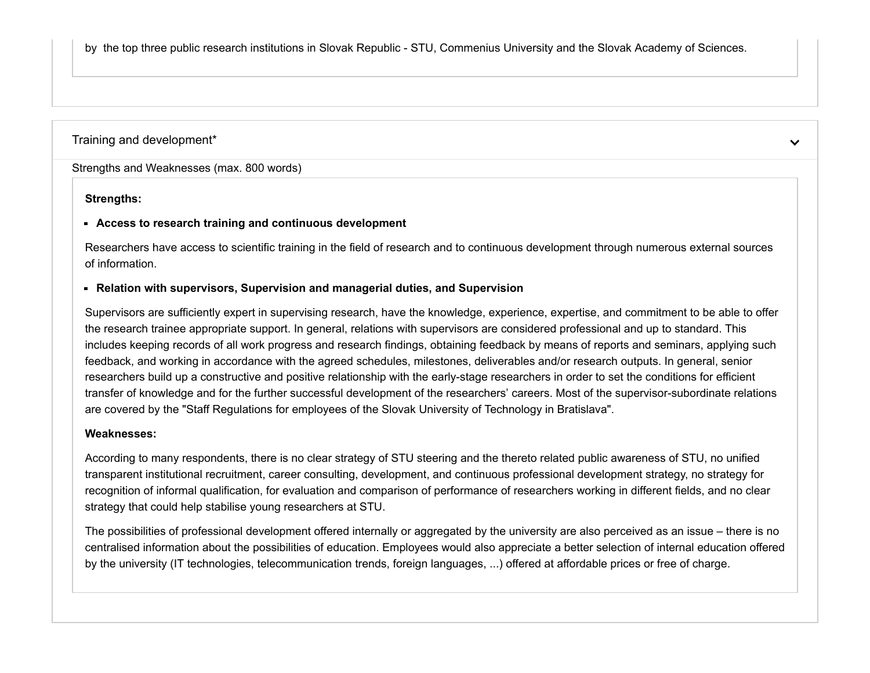by the top three public research institutions in Slovak Republic - STU, Commenius University and the Slovak Academy of Sciences.

### Training and development\*

Strengths and Weaknesses (max. 800 words)

### **Strengths:**

### **Access to research training and continuous development**

Researchers have access to scientific training in the field of research and to continuous development through numerous external sources of information.

 $\checkmark$ 

### **Relation with supervisors, Supervision and managerial duties, and Supervision**

Supervisors are sufficiently expert in supervising research, have the knowledge, experience, expertise, and commitment to be able to offer the research trainee appropriate support. In general, relations with supervisors are considered professional and up to standard. This includes keeping records of all work progress and research findings, obtaining feedback by means of reports and seminars, applying such feedback, and working in accordance with the agreed schedules, milestones, deliverables and/or research outputs. In general, senior researchers build up a constructive and positive relationship with the early-stage researchers in order to set the conditions for efficient transfer of knowledge and for the further successful development of the researchers' careers. Most of the supervisor-subordinate relations are covered by the "[Staff Regulations for employees of the Slovak University of Technology in Bratislava"](https://www.stuba.sk/buxus/docs/stu/pracoviska/rektorat/odd_veda_vyskum/HRS4R/Staff_Regulations_of_STU.pdf).

### **Weaknesses:**

According to many respondents, there is no clear strategy of STU steering and the thereto related public awareness of STU, no unified transparent institutional recruitment, career consulting, development, and continuous professional development strategy, no strategy for recognition of informal qualification, for evaluation and comparison of performance of researchers working in different fields, and no clear strategy that could help stabilise young researchers at STU.

The possibilities of professional development offered internally or aggregated by the university are also perceived as an issue – there is no centralised information about the possibilities of education. Employees would also appreciate a better selection of internal education offered by the university (IT technologies, telecommunication trends, foreign languages, ...) offered at affordable prices or free of charge.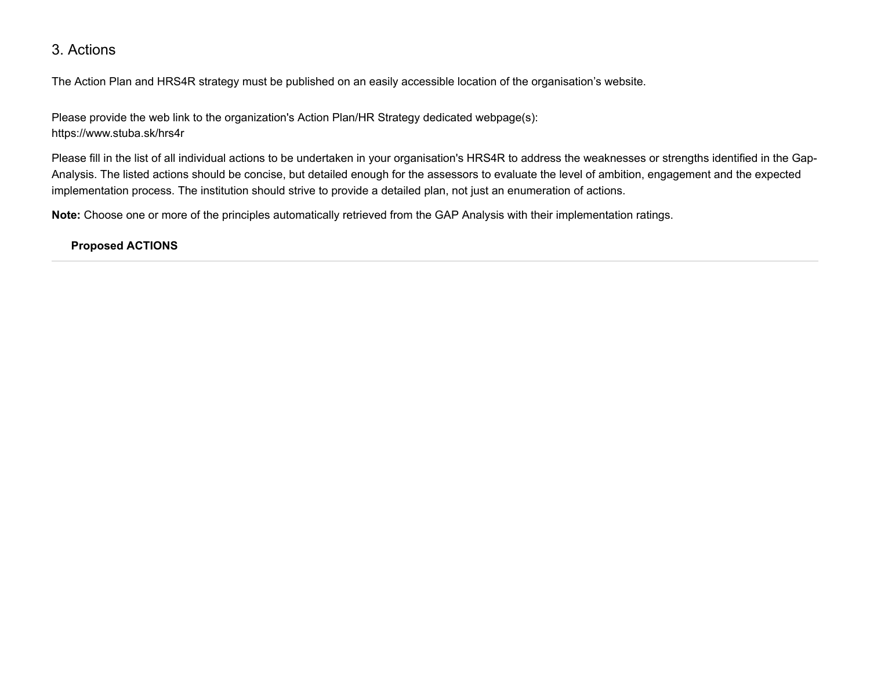# 3. Actions

The Action Plan and HRS4R strategy must be published on an easily accessible location of the organisation's website.

Please provide the web link to the organization's Action Plan/HR Strategy dedicated webpage(s): <https://www.stuba.sk/hrs4r>

Please fill in the list of all individual actions to be undertaken in your organisation's HRS4R to address the weaknesses or strengths identified in the Gap-Analysis. The listed actions should be concise, but detailed enough for the assessors to evaluate the level of ambition, engagement and the expected implementation process. The institution should strive to provide a detailed plan, not just an enumeration of actions.

**Note:** Choose one or more of the principles automatically retrieved from the GAP Analysis with their implementation ratings.

# **Proposed ACTIONS**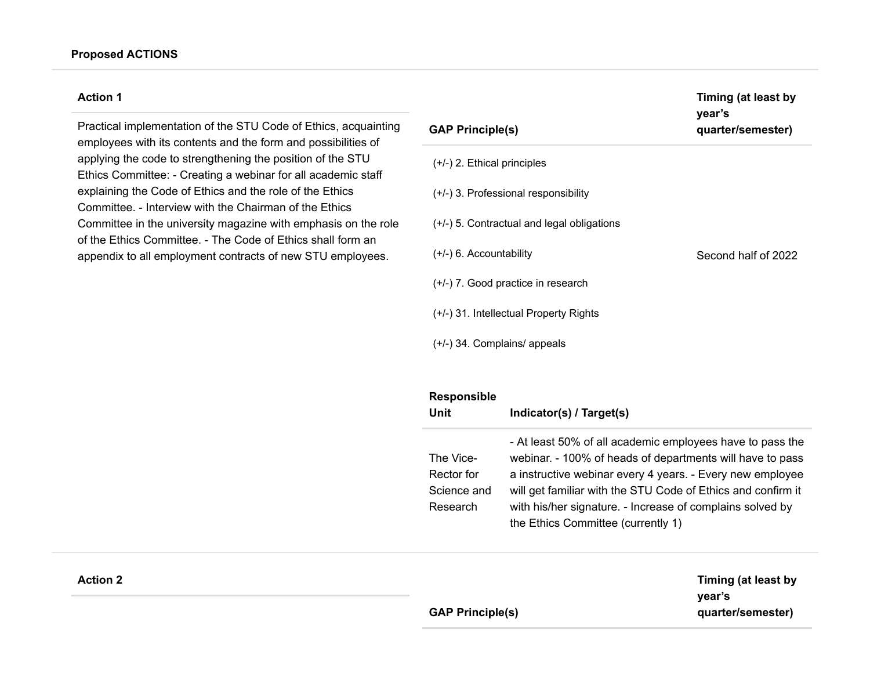Practical implementation of the STU Code of Ethics, acquainting employees with its contents and the form and possibilities of applying the code to strengthening the position of the STU Ethics Committee: - Creating a webinar for all academic staff explaining the Code of Ethics and the role of the Ethics Committee. - Interview with the Chairman of the Ethics Committee in the university magazine with emphasis on the role of the Ethics Committee. - The Code of Ethics shall form an appendix to all employment contracts of new STU employees.

| <b>GAP Principle(s)</b>                      | year's<br>quarter/semester) |
|----------------------------------------------|-----------------------------|
| $(+/-)$ 2. Ethical principles                |                             |
| $(+/-)$ 3. Professional responsibility       |                             |
| $(+/-)$ 5. Contractual and legal obligations |                             |
| $(+/-)$ 6. Accountability                    | Second half of 2022         |
| (+/-) 7. Good practice in research           |                             |
| (+/-) 31. Intellectual Property Rights       |                             |
| $(+/-)$ 34. Complains/ appeals               |                             |

| <b>Responsible</b><br>Unit                         | Indicator(s) / Target(s)                                                                                                                                                                                                                                                                                                                               |
|----------------------------------------------------|--------------------------------------------------------------------------------------------------------------------------------------------------------------------------------------------------------------------------------------------------------------------------------------------------------------------------------------------------------|
| The Vice-<br>Rector for<br>Science and<br>Research | - At least 50% of all academic employees have to pass the<br>webinar. - 100% of heads of departments will have to pass<br>a instructive webinar every 4 years. - Every new employee<br>will get familiar with the STU Code of Ethics and confirm it<br>with his/her signature. - Increase of complains solved by<br>the Ethics Committee (currently 1) |

| Timing (at least by |
|---------------------|
| vear's              |
| quarter/semester)   |

**Timing (at least by**

| <b>GAP Principle(s)</b> |  |  |
|-------------------------|--|--|
|                         |  |  |

## **Action 2**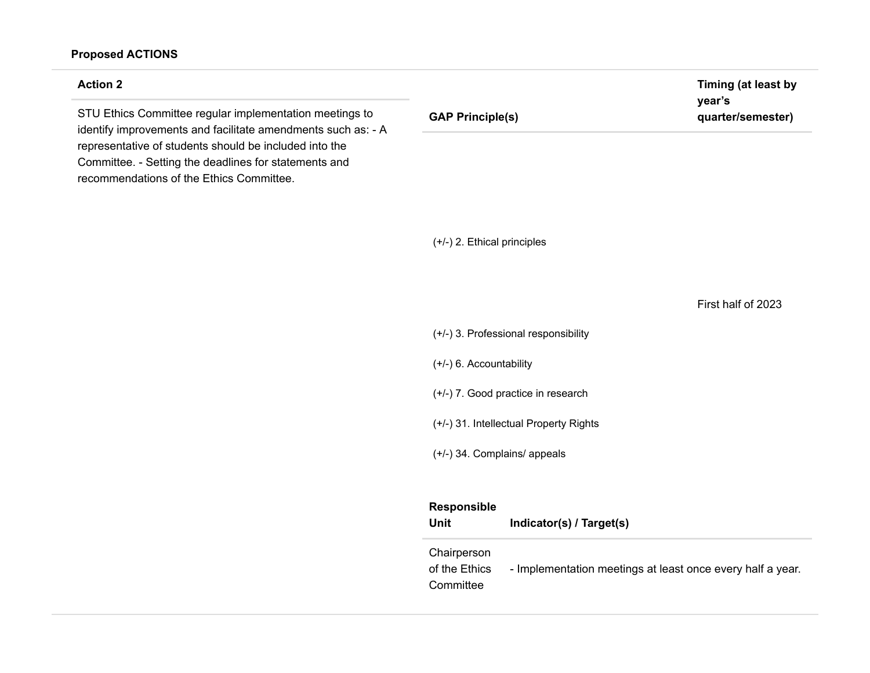# **Proposed ACTIONS**

| <b>Action 2</b>                                                                                                                                             |                                                 | Timing (at least by         |
|-------------------------------------------------------------------------------------------------------------------------------------------------------------|-------------------------------------------------|-----------------------------|
| STU Ethics Committee regular implementation meetings to<br>identify improvements and facilitate amendments such as: - A                                     | <b>GAP Principle(s)</b>                         | year's<br>quarter/semester) |
| representative of students should be included into the<br>Committee. - Setting the deadlines for statements and<br>recommendations of the Ethics Committee. |                                                 |                             |
|                                                                                                                                                             | $(+/-)$ 2. Ethical principles                   |                             |
|                                                                                                                                                             |                                                 | First half of 2023          |
|                                                                                                                                                             | (+/-) 3. Professional responsibility            |                             |
|                                                                                                                                                             | $(+/-)$ 6. Accountability                       |                             |
|                                                                                                                                                             | (+/-) 7. Good practice in research              |                             |
|                                                                                                                                                             | (+/-) 31. Intellectual Property Rights          |                             |
|                                                                                                                                                             | (+/-) 34. Complains/ appeals                    |                             |
|                                                                                                                                                             | Responsible<br>Unit<br>Indicator(s) / Target(s) |                             |
|                                                                                                                                                             | Chairperson                                     |                             |

of the Ethics Committee - Implementation meetings at least once every half a year.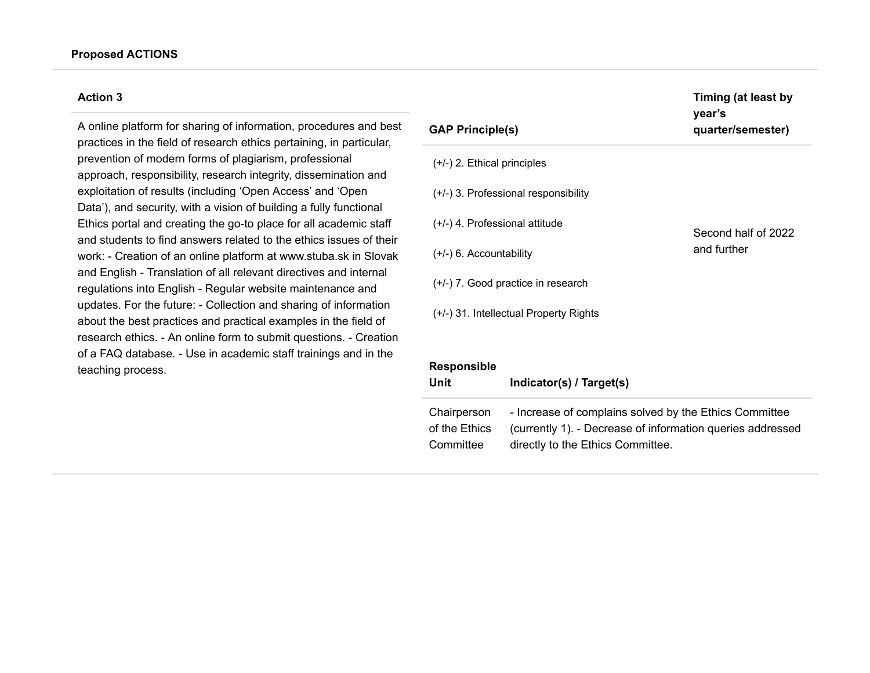A online platform for sharing of information, procedures and best practices in the field of research ethics pertaining, in particular, prevention of modern forms of plagiarism, professional approach, responsibility, research integrity, dissemination and exploitation of results (including 'Open Access' and 'Open Data'), and security, with a vision of building a fully functional Ethics portal and creating the go-to place for all academic staff and students to find answers related to the ethics issues of their work: - Creation of an online platform at www.stuba.sk in Slovak and English - Translation of all relevant directives and internal regulations into English - Regular website maintenance and updates. For the future: - Collection and sharing of information about the best practices and practical examples in the field of research ethics. - An online form to submit questions. - Creation of a FAQ database. - Use in academic staff trainings and in the teaching process.

| <b>GAP Principle(s)</b>                  | Timing (at least by<br>year's<br>quarter/semester) |
|------------------------------------------|----------------------------------------------------|
| $(+/-)$ 2. Ethical principles            |                                                    |
| $(+/-)$ 3. Professional responsibility   |                                                    |
| $(+/-)$ 4. Professional attitude         | Second half of 2022                                |
| $(+/-)$ 6. Accountability                | and further                                        |
| (+/-) 7. Good practice in research       |                                                    |
| $(+/-)$ 31. Intellectual Property Rights |                                                    |
| Paenoneiblo                              |                                                    |

| <b>Responsible</b><br>Unit | Indicator(s) / Target(s)                                   |
|----------------------------|------------------------------------------------------------|
| Chairperson                | - Increase of complains solved by the Ethics Committee     |
| of the Ethics              | (currently 1). - Decrease of information queries addressed |
| Committee                  | directly to the Ethics Committee.                          |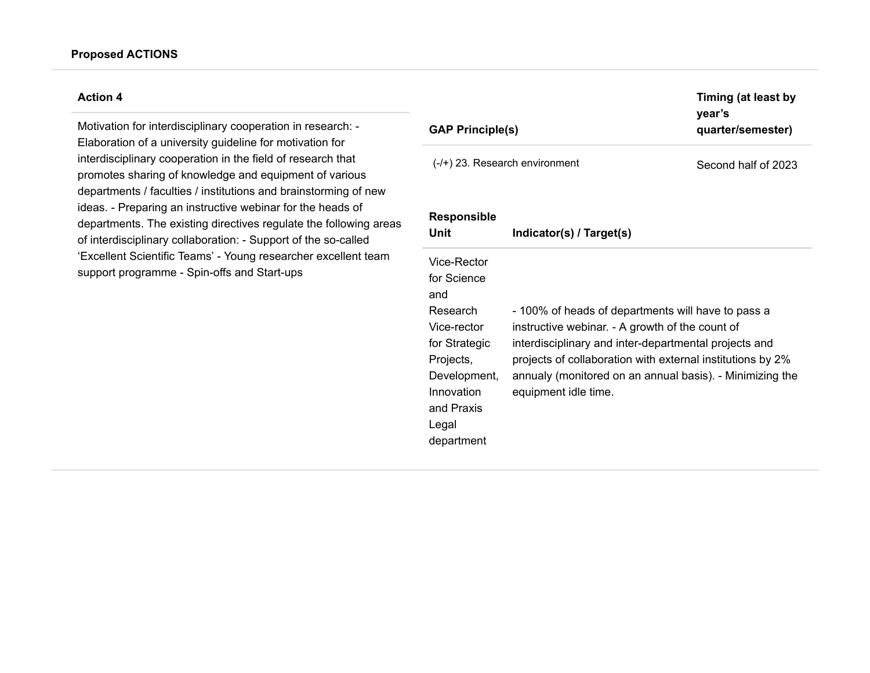Motivation for interdisciplinary cooperation in research: - Elaboration of a university guideline for motivation for interdisciplinary cooperation in the field of research that promotes sharing of knowledge and equipment of various departments / faculties / institutions and brainstorming of new ideas. - Preparing an instructive webinar for the heads of departments. The existing directives regulate the following areas of interdisciplinary collaboration: - Support of the so-called 'Excellent Scientific Teams' - Young researcher excellent team support programme - Spin-offs and Start-ups

| <b>GAP Principle(s)</b>                                                                                                                                       |                                                                                                                                                                                                                                                                                                                  | Timing (at least by<br>year's<br>quarter/semester) |
|---------------------------------------------------------------------------------------------------------------------------------------------------------------|------------------------------------------------------------------------------------------------------------------------------------------------------------------------------------------------------------------------------------------------------------------------------------------------------------------|----------------------------------------------------|
|                                                                                                                                                               | $(-/+)$ 23. Research environment                                                                                                                                                                                                                                                                                 | Second half of 2023                                |
| <b>Responsible</b><br>Unit                                                                                                                                    | Indicator(s) / Target(s)                                                                                                                                                                                                                                                                                         |                                                    |
| Vice-Rector<br>for Science<br>and<br>Research<br>Vice-rector<br>for Strategic<br>Projects,<br>Development,<br>Innovation<br>and Praxis<br>Legal<br>department | - 100% of heads of departments will have to pass a<br>instructive webinar. - A growth of the count of<br>interdisciplinary and inter-departmental projects and<br>projects of collaboration with external institutions by 2%<br>annualy (monitored on an annual basis). - Minimizing the<br>equipment idle time. |                                                    |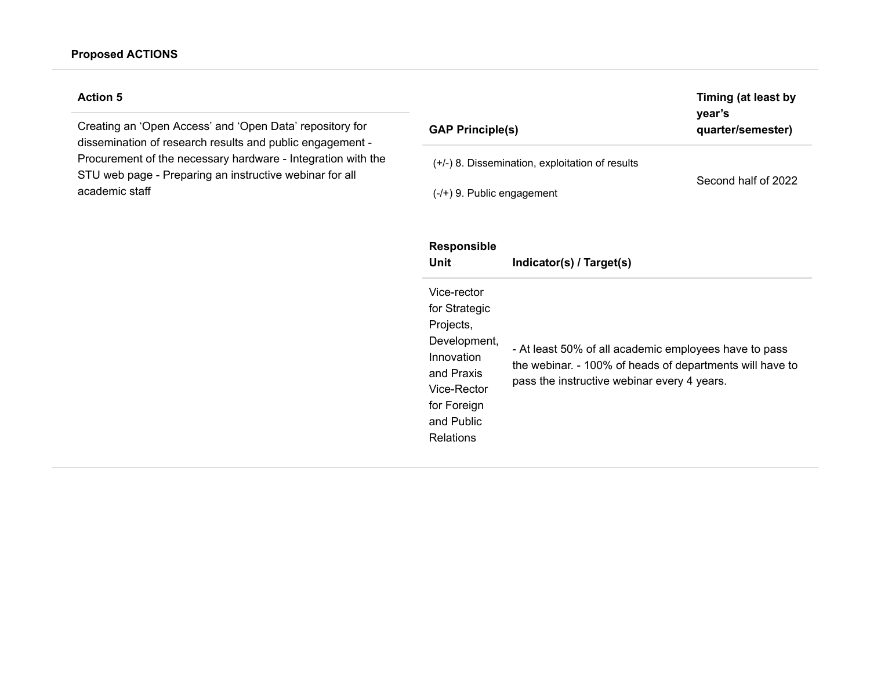Creating an 'Open Access' and 'Open Data' repository for dissemination of research results and public engagement - Procurement of the necessary hardware - Integration with the STU web page - Preparing an instructive webinar for all academic staff

| <b>GAP Principle(s)</b>                                                           | Timing (at least by<br>year's<br>quarter/semester) |
|-----------------------------------------------------------------------------------|----------------------------------------------------|
| $(+/-)$ 8. Dissemination, exploitation of results<br>$(-/+)$ 9. Public engagement | Second half of 2022                                |
| <b>Responsible</b>                                                                |                                                    |

| Unit                                                                                                                                           | Indicator(s) / Target(s)                                                                                                                                         |
|------------------------------------------------------------------------------------------------------------------------------------------------|------------------------------------------------------------------------------------------------------------------------------------------------------------------|
| Vice-rector<br>for Strategic<br>Projects,<br>Development,<br>Innovation<br>and Praxis<br>Vice-Rector<br>for Foreign<br>and Public<br>Relations | - At least 50% of all academic employees have to pass<br>the webinar. - 100% of heads of departments will have to<br>pass the instructive webinar every 4 years. |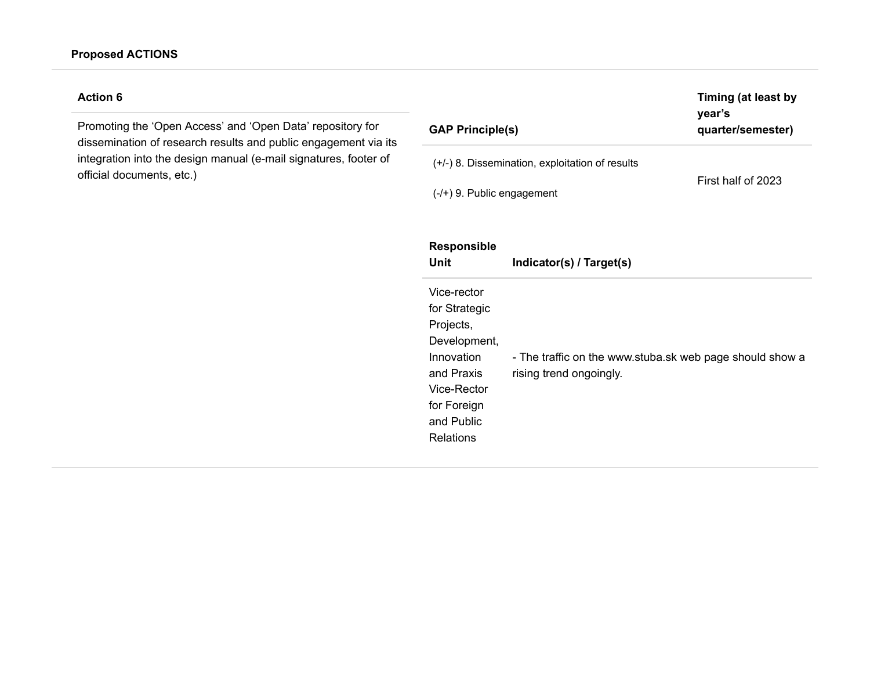Promoting the 'Open Access' and 'Open Data' repository for dissemination of research results and public engagement via its integration into the design manual (e-mail signatures, footer of official documents, etc.)

| <b>GAP Principle(s)</b>                                                               |                                                                                     | Timing (at least by<br>year's<br>quarter/semester) |
|---------------------------------------------------------------------------------------|-------------------------------------------------------------------------------------|----------------------------------------------------|
| $(-/+)$ 9. Public engagement                                                          | $(+/-)$ 8. Dissemination, exploitation of results                                   | First half of 2023                                 |
| <b>Responsible</b><br>Unit                                                            | Indicator(s) / Target(s)                                                            |                                                    |
| Vice-rector<br>for Strategic<br>Projects,<br>Development,<br>Innovation<br>and Praxis | - The traffic on the www.stuba.sk web page should show a<br>rising trend ongoingly. |                                                    |

| Projects,    |                                                       |
|--------------|-------------------------------------------------------|
| Development, |                                                       |
| Innovation   | - The traffic on the www.stuba.sk web page should sho |
| and Praxis   | rising trend ongoingly.                               |
| Vice-Rector  |                                                       |
| for Foreign  |                                                       |

and Public Relations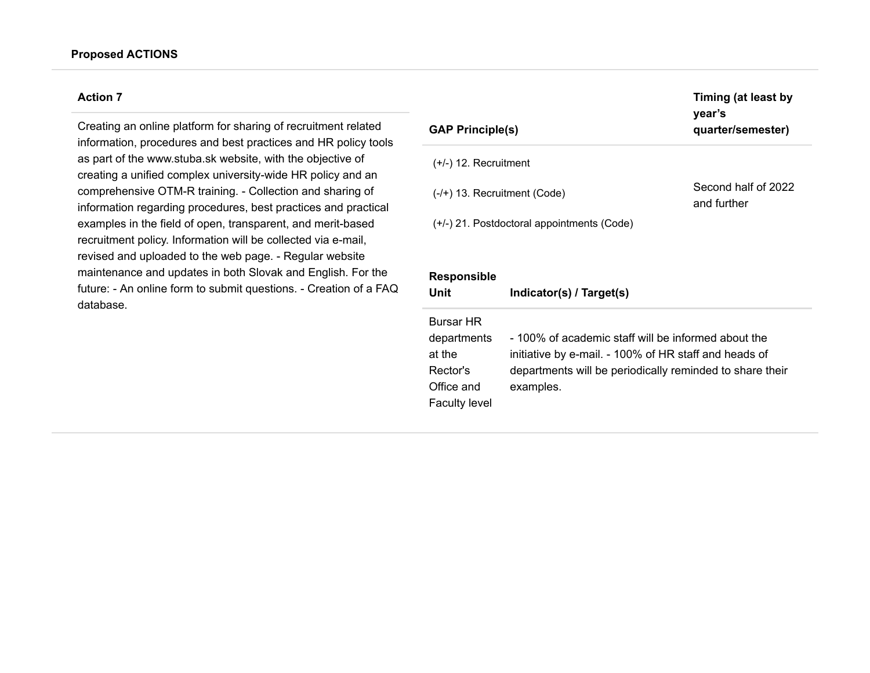Creating an online platform for sharing of recruitment related information, procedures and best practices and HR policy tools as part of the www.stuba.sk website, with the objective of creating a unified complex university-wide HR policy and an comprehensive OTM-R training. - Collection and sharing of information regarding procedures, best practices and practical examples in the field of open, transparent, and merit-based recruitment policy. Information will be collected via e-mail, revised and uploaded to the web page. - Regular website maintenance and updates in both Slovak and English. For the future: - An online form to submit questions. - Creation of a FAQ database.

| <b>GAP Principle(s)</b>        |                                                          | Timing (at least by<br>year's<br>quarter/semester) |
|--------------------------------|----------------------------------------------------------|----------------------------------------------------|
| $(+/-)$ 12. Recruitment        |                                                          |                                                    |
| $(-/+)$ 13. Recruitment (Code) |                                                          | Second half of 2022<br>and further                 |
|                                | $(+/-)$ 21. Postdoctoral appointments (Code)             |                                                    |
|                                |                                                          |                                                    |
| <b>Responsible</b>             |                                                          |                                                    |
| Unit                           | Indicator(s) / Target(s)                                 |                                                    |
| <b>Bursar HR</b>               |                                                          |                                                    |
| departments                    | - 100% of academic staff will be informed about the      |                                                    |
| at the                         | initiative by e-mail. - 100% of HR staff and heads of    |                                                    |
| Rector's                       | departments will be periodically reminded to share their |                                                    |
| Office and                     | examples.                                                |                                                    |
| <b>Faculty level</b>           |                                                          |                                                    |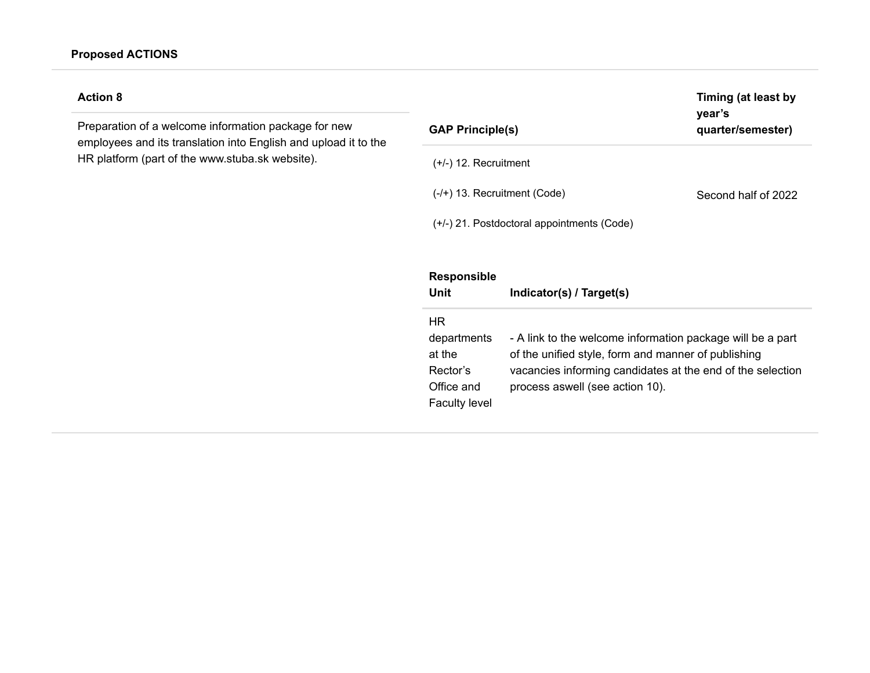# **Proposed ACTIONS**

# **Action 8**

Preparation of a welcome information package for new employees and its translation into English and upload it to the HR platform (part of the www.stuba.sk website).

| <b>GAP Principle(s)</b>        |                                                            | Timing (at least by<br>year's<br>quarter/semester) |
|--------------------------------|------------------------------------------------------------|----------------------------------------------------|
| $(+/-)$ 12. Recruitment        |                                                            |                                                    |
| $(-/+)$ 13. Recruitment (Code) |                                                            | Second half of 2022                                |
|                                | (+/-) 21. Postdoctoral appointments (Code)                 |                                                    |
|                                |                                                            |                                                    |
| <b>Responsible</b>             |                                                            |                                                    |
| Unit                           | Indicator(s) / Target(s)                                   |                                                    |
| HR.                            |                                                            |                                                    |
| departments                    | - A link to the welcome information package will be a part |                                                    |
| at the                         | of the unified style, form and manner of publishing        |                                                    |
| Rector's                       | vacancies informing candidates at the end of the selection |                                                    |
| Office and                     | process aswell (see action 10).                            |                                                    |
| <b>Faculty level</b>           |                                                            |                                                    |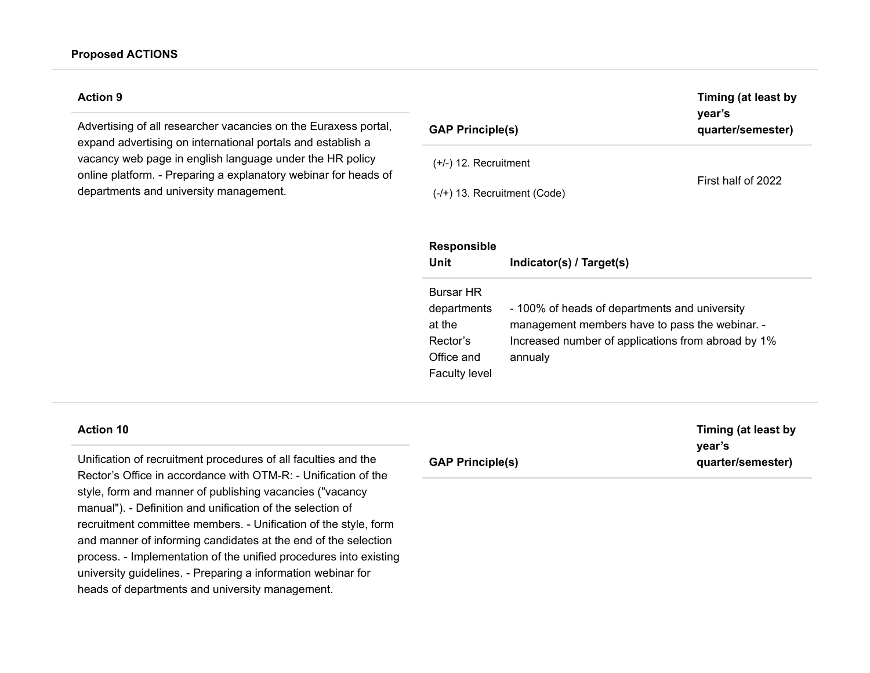Advertising of all researcher vacancies on the Euraxess portal, expand advertising on international portals and establish a vacancy web page in english language under the HR policy online platform. - Preparing a explanatory webinar for heads of departments and university management.

| <b>GAP Principle(s)</b>        | Timing (at least by<br>year's<br>quarter/semester) |  |
|--------------------------------|----------------------------------------------------|--|
| $(+/-)$ 12. Recruitment        |                                                    |  |
| $(-/+)$ 13. Recruitment (Code) | First half of 2022                                 |  |

| <b>Responsible</b><br>Unit                                                                  | Indicator(s) / Target(s)                                                                                                                                         |
|---------------------------------------------------------------------------------------------|------------------------------------------------------------------------------------------------------------------------------------------------------------------|
| <b>Bursar HR</b><br>departments<br>at the<br>Rector's<br>Office and<br><b>Faculty level</b> | - 100% of heads of departments and university<br>management members have to pass the webinar. -<br>Increased number of applications from abroad by 1%<br>annualy |

### **Action 10**

Unification of recruitment procedures of all faculties and the Rector's Office in accordance with OTM-R: - Unification of the style, form and manner of publishing vacancies ("vacancy manual"). - Definition and unification of the selection of recruitment committee members. - Unification of the style, form and manner of informing candidates at the end of the selection process. - Implementation of the unified procedures into existing university guidelines. - Preparing a information webinar for heads of departments and university management.

# **GAP Principle(s)**

**Timing (at least by year's quarter/semester)**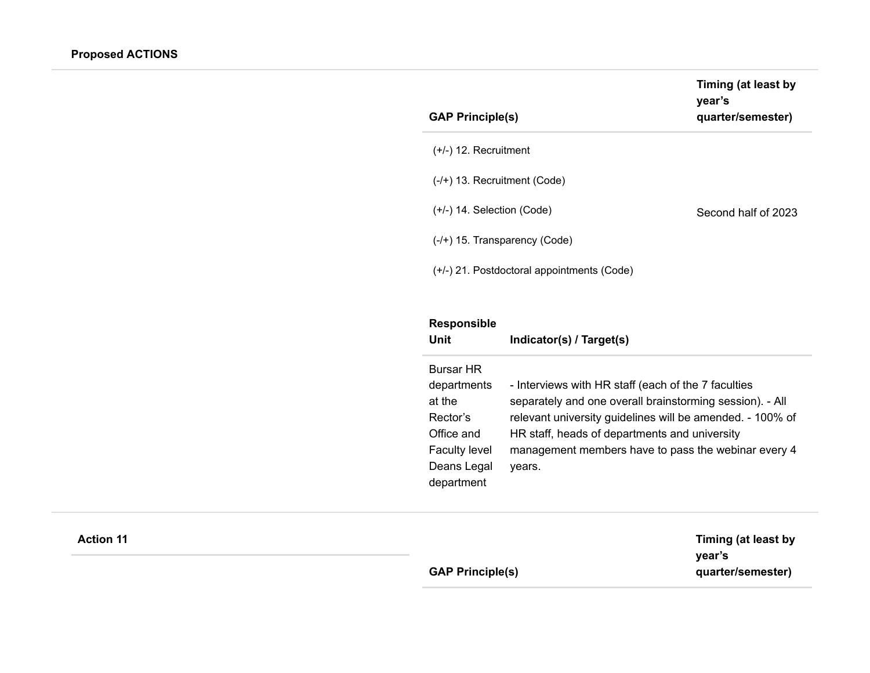| <b>GAP Principle(s)</b>                    | Timing (at least by<br>vear's<br>quarter/semester) |
|--------------------------------------------|----------------------------------------------------|
| $(+/-)$ 12. Recruitment                    |                                                    |
| $(-/+)$ 13. Recruitment (Code)             |                                                    |
| $(+/-)$ 14. Selection (Code)               | Second half of 2023                                |
| $(-/+)$ 15. Transparency (Code)            |                                                    |
| (+/-) 21. Postdoctoral appointments (Code) |                                                    |

# **Responsible**

| Unit                                                                                                                     | Indicator(s) / Target(s)                                                                                                                                                                                                                                                                       |
|--------------------------------------------------------------------------------------------------------------------------|------------------------------------------------------------------------------------------------------------------------------------------------------------------------------------------------------------------------------------------------------------------------------------------------|
| <b>Bursar HR</b><br>departments<br>at the<br>Rector's<br>Office and<br><b>Faculty level</b><br>Deans Legal<br>department | - Interviews with HR staff (each of the 7 faculties<br>separately and one overall brainstorming session). - All<br>relevant university quidelines will be amended. - 100% of<br>HR staff, heads of departments and university<br>management members have to pass the webinar every 4<br>years. |

| <b>Action 11</b> |                         | Timing (at least by         |
|------------------|-------------------------|-----------------------------|
|                  | <b>GAP Principle(s)</b> | year's<br>quarter/semester) |
|                  |                         |                             |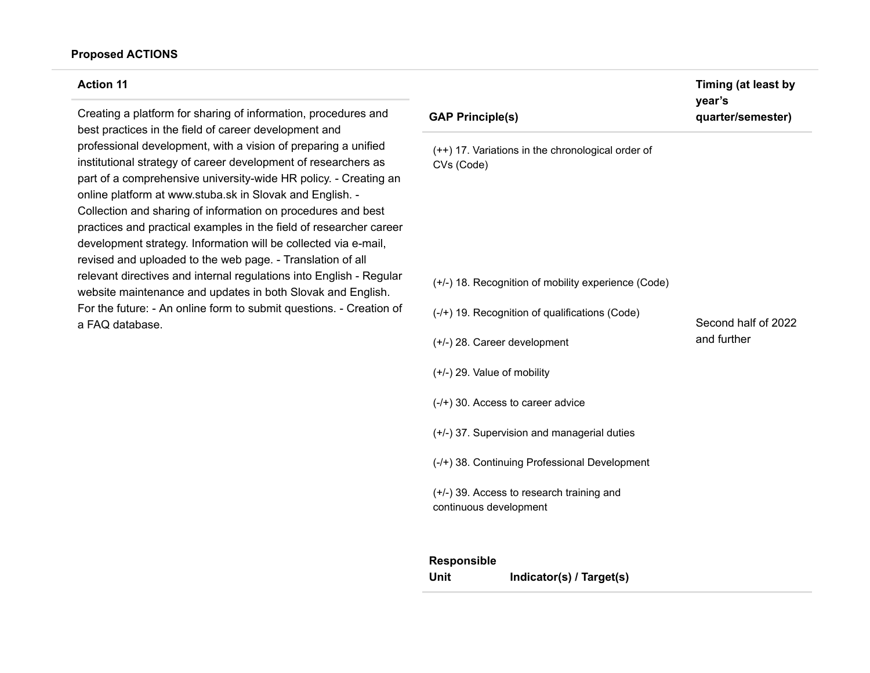### **Proposed ACTIONS**

#### **Action 11**

Creating a platform for sharing of information, procedures and best practices in the field of career development and professional development, with a vision of preparing a unified institutional strategy of career development of researchers as part of a comprehensive university-wide HR policy. - Creating an online platform at www.stuba.sk in Slovak and English. - Collection and sharing of information on procedures and best practices and practical examples in the field of researcher career development strategy. Information will be collected via e-mail, revised and uploaded to the web page. - Translation of all relevant directives and internal regulations into English - Regular website maintenance and updates in both Slovak and English. For the future: - An online form to submit questions. - Creation of a FAQ database.

## **GAP Principle(s)**

(++) 17. Variations in the chronological order of CVs (Code)

(+/-) 18. Recognition of mobility experience (Code)

- (-/+) 19. Recognition of qualifications (Code)
- (+/-) 28. Career development
- (+/-) 29. Value of mobility
- (-/+) 30. Access to career advice
- (+/-) 37. Supervision and managerial duties
- (-/+) 38. Continuing Professional Development

(+/-) 39. Access to research training and continuous development

### **Responsible**

**Unit Indicator(s) / Target(s)**

Second half of 2022 and further

**Timing (at least by year's quarter/semester)**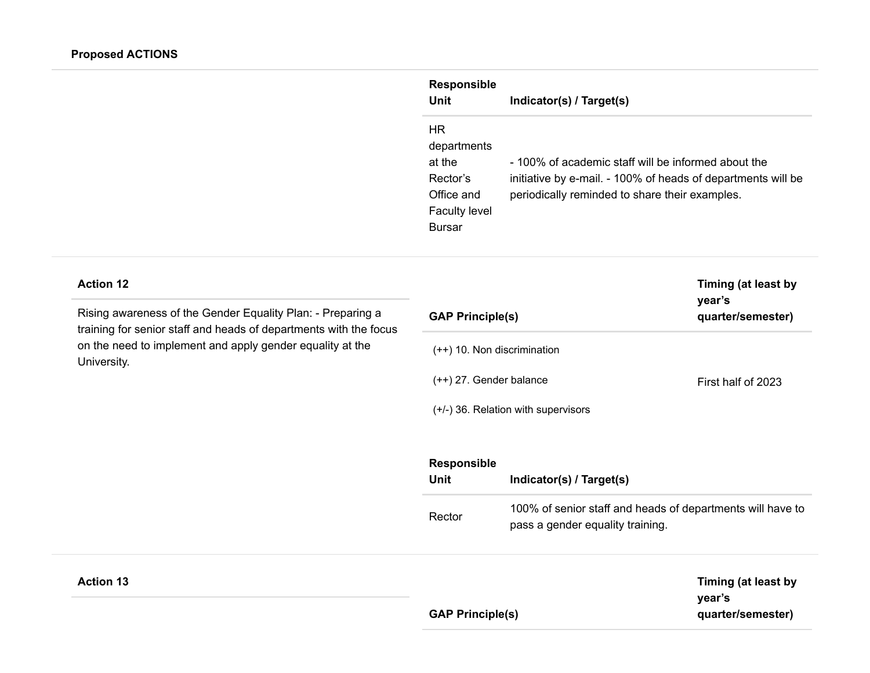| <b>Responsible</b><br>Unit                                                                     | Indicator(s) / Target(s)                                                                                                                                              |
|------------------------------------------------------------------------------------------------|-----------------------------------------------------------------------------------------------------------------------------------------------------------------------|
| HR<br>departments<br>at the<br>Rector's<br>Office and<br><b>Faculty level</b><br><b>Bursar</b> | - 100% of academic staff will be informed about the<br>initiative by e-mail. - 100% of heads of departments will be<br>periodically reminded to share their examples. |

| <b>Action 12</b><br>Rising awareness of the Gender Equality Plan: - Preparing a                                                               | year's<br><b>GAP Principle(s)</b>                                                      |                                                                                                | Timing (at least by<br>quarter/semester) |
|-----------------------------------------------------------------------------------------------------------------------------------------------|----------------------------------------------------------------------------------------|------------------------------------------------------------------------------------------------|------------------------------------------|
| training for senior staff and heads of departments with the focus<br>on the need to implement and apply gender equality at the<br>University. | $(++)$ 10. Non discrimination                                                          |                                                                                                |                                          |
|                                                                                                                                               | $(++)$ 27. Gender balance<br>First half of 2023<br>(+/-) 36. Relation with supervisors |                                                                                                |                                          |
|                                                                                                                                               |                                                                                        |                                                                                                |                                          |
|                                                                                                                                               | <b>Responsible</b>                                                                     |                                                                                                |                                          |
|                                                                                                                                               | <b>Unit</b>                                                                            | Indicator(s) / Target(s)                                                                       |                                          |
|                                                                                                                                               | Rector                                                                                 | 100% of senior staff and heads of departments will have to<br>pass a gender equality training. |                                          |
| <b>Action 13</b>                                                                                                                              |                                                                                        |                                                                                                | Timing (at least by                      |

**Timing (at least by year's quarter/semester)**

**GAP Principle(s)**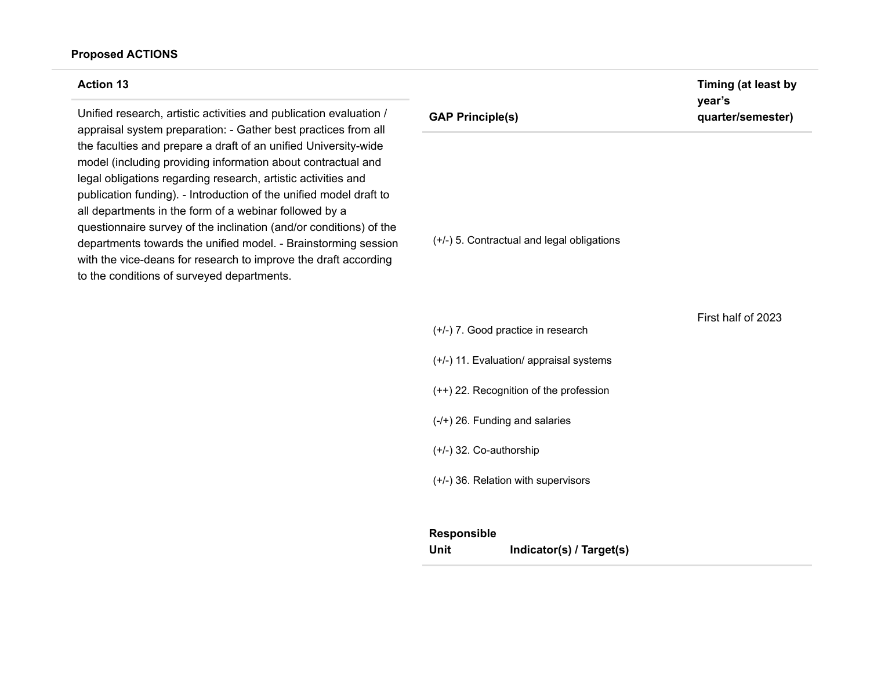### **Proposed ACTIONS**

#### **Action 13**

Unified research, artistic activities and publication evaluation / appraisal system preparation: - Gather best practices from all the faculties and prepare a draft of an unified University-wide model (including providing information about contractual and legal obligations regarding research, artistic activities and publication funding). - Introduction of the unified model draft to all departments in the form of a webinar followed by a questionnaire survey of the inclination (and/or conditions) of the departments towards the unified model. - Brainstorming session with the vice-deans for research to improve the draft according to the conditions of surveyed departments.

# **GAP Principle(s)**

(+/-) 5. Contractual and legal obligations

First half of 2023

(+/-) 11. Evaluation/ appraisal systems

(+/-) 7. Good practice in research

- (++) 22. Recognition of the profession
- (-/+) 26. Funding and salaries
- (+/-) 32. Co-authorship
- (+/-) 36. Relation with supervisors

### **Responsible**

**Unit Indicator(s) / Target(s)**

**Timing (at least by year's quarter/semester)**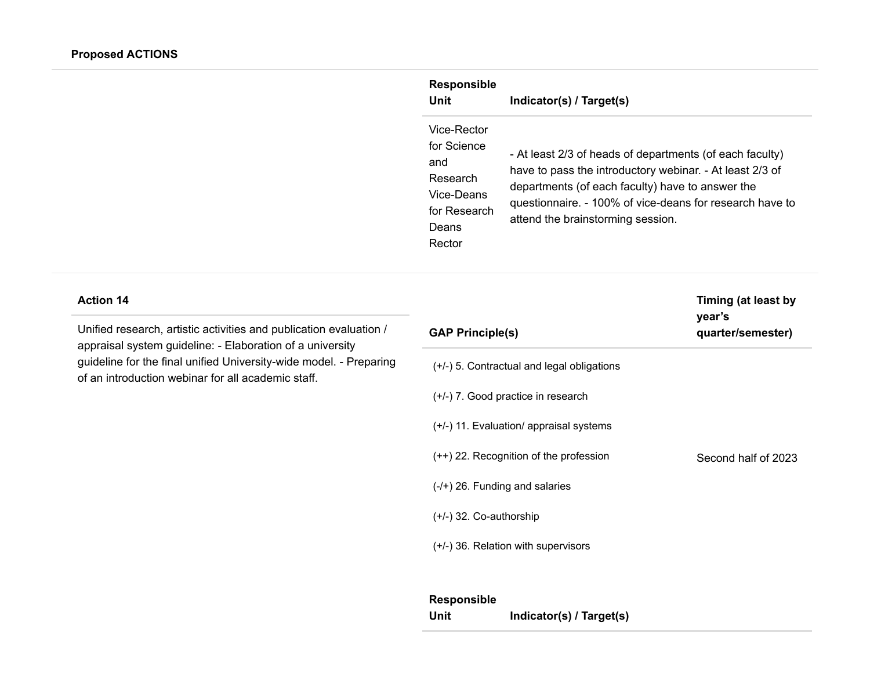|                                                                                                                                 | <b>Responsible</b><br><b>Unit</b>                                                              | Indicator(s) / Target(s)                                                                                                                                                                                                                                                  |                               |
|---------------------------------------------------------------------------------------------------------------------------------|------------------------------------------------------------------------------------------------|---------------------------------------------------------------------------------------------------------------------------------------------------------------------------------------------------------------------------------------------------------------------------|-------------------------------|
|                                                                                                                                 | Vice-Rector<br>for Science<br>and<br>Research<br>Vice-Deans<br>for Research<br>Deans<br>Rector | - At least 2/3 of heads of departments (of each faculty)<br>have to pass the introductory webinar. - At least 2/3 of<br>departments (of each faculty) have to answer the<br>questionnaire. - 100% of vice-deans for research have to<br>attend the brainstorming session. |                               |
| <b>Action 14</b>                                                                                                                |                                                                                                |                                                                                                                                                                                                                                                                           | Timing (at least by<br>year's |
| Unified research, artistic activities and publication evaluation /<br>appraisal system guideline: - Elaboration of a university | <b>GAP Principle(s)</b>                                                                        |                                                                                                                                                                                                                                                                           | quarter/semester)             |
| guideline for the final unified University-wide model. - Preparing<br>of an introduction webinar for all academic staff.        | (+/-) 5. Contractual and legal obligations                                                     |                                                                                                                                                                                                                                                                           |                               |
|                                                                                                                                 | (+/-) 7. Good practice in research                                                             |                                                                                                                                                                                                                                                                           |                               |
|                                                                                                                                 |                                                                                                | (+/-) 11. Evaluation/ appraisal systems                                                                                                                                                                                                                                   |                               |
|                                                                                                                                 | (++) 22. Recognition of the profession                                                         |                                                                                                                                                                                                                                                                           | Second half of 2023           |
|                                                                                                                                 | $(-/+)$ 26. Funding and salaries                                                               |                                                                                                                                                                                                                                                                           |                               |
|                                                                                                                                 | (+/-) 32. Co-authorship                                                                        |                                                                                                                                                                                                                                                                           |                               |
|                                                                                                                                 |                                                                                                | (+/-) 36. Relation with supervisors                                                                                                                                                                                                                                       |                               |
|                                                                                                                                 | Responsible                                                                                    |                                                                                                                                                                                                                                                                           |                               |
|                                                                                                                                 | Unit                                                                                           | Indicator(s) / Target(s)                                                                                                                                                                                                                                                  |                               |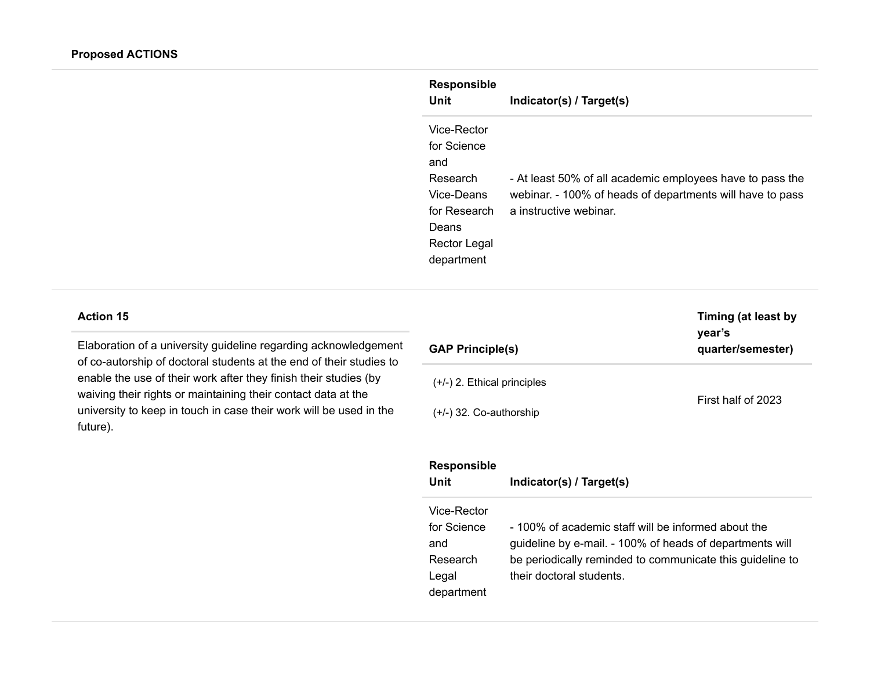| <b>Responsible</b> |                                                           |
|--------------------|-----------------------------------------------------------|
| Unit               | Indicator(s) / Target(s)                                  |
| Vice-Rector        |                                                           |
| for Science        |                                                           |
| and                |                                                           |
| Research           | - At least 50% of all academic employees have to pass the |
| Vice-Deans         | webinar. - 100% of heads of departments will have to pass |
| for Research       | a instructive webinar.                                    |
| Deans              |                                                           |
| Rector Legal       |                                                           |
| department         |                                                           |

Elaboration of a university guideline regarding acknowledgement of co-autorship of doctoral students at the end of their studies to enable the use of their work after they finish their studies (by waiving their rights or maintaining their contact data at the university to keep in touch in case their work will be used in the future).

| <b>GAP Principle(s)</b>       | Timing (at least by<br>year's<br>quarter/semester) |  |
|-------------------------------|----------------------------------------------------|--|
| $(+/-)$ 2. Ethical principles | First half of 2023                                 |  |
| $(+/-)$ 32. Co-authorship     |                                                    |  |

| <b>Responsible</b><br>Unit                                           | Indicator(s) / Target(s)                                                                                                                                                                                 |
|----------------------------------------------------------------------|----------------------------------------------------------------------------------------------------------------------------------------------------------------------------------------------------------|
| Vice-Rector<br>for Science<br>and<br>Research<br>Legal<br>department | - 100% of academic staff will be informed about the<br>guideline by e-mail. - 100% of heads of departments will<br>be periodically reminded to communicate this guideline to<br>their doctoral students. |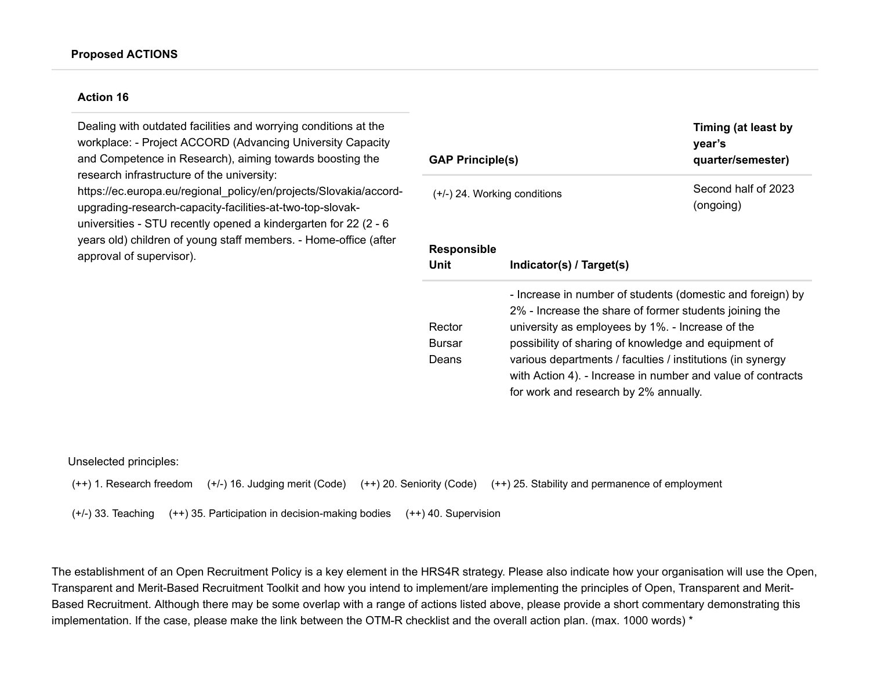Dealing with outdated facilities and worrying conditions at the workplace: - Project ACCORD (Advancing University Capacity and Competence in Research), aiming towards boosting the research infrastructure of the university: https://ec.europa.eu/regional\_policy/en/projects/Slovakia/accordupgrading-research-capacity-facilities-at-two-top-slovakuniversities - STU recently opened a kindergarten for 22 (2 - 6 years old) children of young staff members. - Home-office (after approval of supervisor).

| <b>GAP Principle(s)</b>          |                                | Timing (at least by<br>year's<br>quarter/semester)                                                                                                                                                                                                                                                                                                                                                     |  |
|----------------------------------|--------------------------------|--------------------------------------------------------------------------------------------------------------------------------------------------------------------------------------------------------------------------------------------------------------------------------------------------------------------------------------------------------------------------------------------------------|--|
|                                  | $(+/-)$ 24. Working conditions | Second half of 2023<br>(ongoing)                                                                                                                                                                                                                                                                                                                                                                       |  |
| <b>Responsible</b>               |                                |                                                                                                                                                                                                                                                                                                                                                                                                        |  |
| Unit                             | Indicator(s) / Target(s)       |                                                                                                                                                                                                                                                                                                                                                                                                        |  |
| Rector<br><b>Bursar</b><br>Deans |                                | - Increase in number of students (domestic and foreign) by<br>2% - Increase the share of former students joining the<br>university as employees by 1%. - Increase of the<br>possibility of sharing of knowledge and equipment of<br>various departments / faculties / institutions (in synergy<br>with Action 4). - Increase in number and value of contracts<br>for work and research by 2% annually. |  |

Unselected principles:

(+/-) 33. Teaching (++) 35. Participation in decision-making bodies (++) 40. Supervision

The establishment of an Open Recruitment Policy is a key element in the HRS4R strategy. Please also indicate how your organisation will use the Open, Transparent and Merit-Based Recruitment Toolkit and how you intend to implement/are implementing the principles of Open, Transparent and Merit-Based Recruitment. Although there may be some overlap with a range of actions listed above, please provide a short commentary demonstrating this implementation. If the case, please make the link between the OTM-R checklist and the overall action plan. (max. 1000 words) \*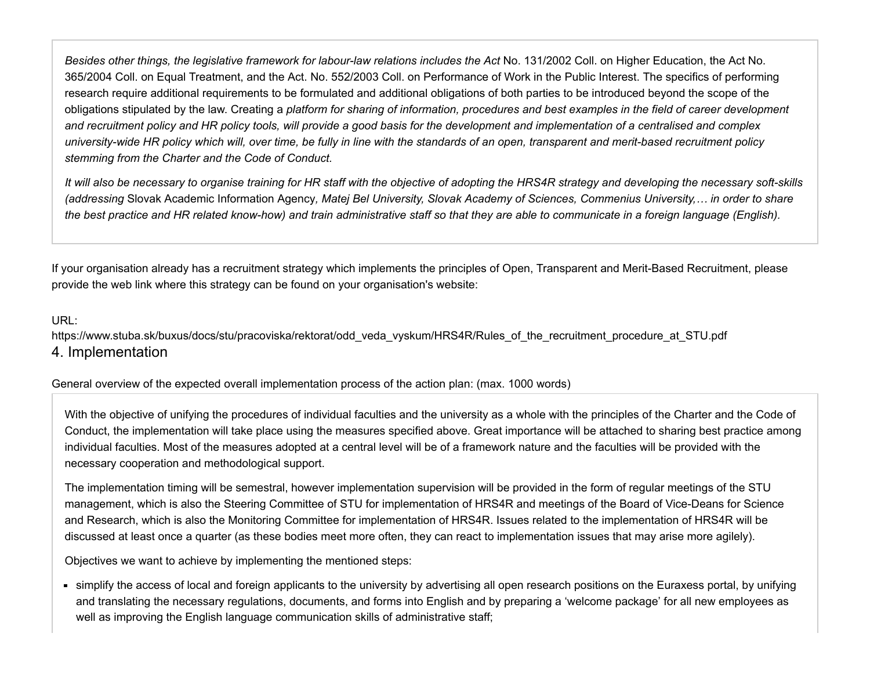*Besides other things, the legislative framework for labour-law relations includes the Act* No. 131/2002 Coll. on Higher Education, the Act No. 365/2004 Coll. on Equal Treatment, and the Act. No. 552/2003 Coll. on Performance of Work in the Public Interest. The specifics of performing research require additional requirements to be formulated and additional obligations of both parties to be introduced beyond the scope of the obligations stipulated by the law. Creating a *platform for sharing of information, procedures and best examples in the field of career development and recruitment policy and HR policy tools, will provide a good basis for the development and implementation of a centralised and complex university-wide HR policy which will, over time, be fully in line with the standards of an open, transparent and merit-based recruitment policy stemming from the Charter and the Code of Conduct.*

*It will also be necessary to organise training for HR staff with the objective of adopting the HRS4R strategy and developing the necessary soft-skills (addressing* Slovak Academic Information Agency*, Matej Bel University, Slovak Academy of Sciences, Commenius University,… in order to share the best practice and HR related know-how) and train administrative staff so that they are able to communicate in a foreign language (English).*

If your organisation already has a recruitment strategy which implements the principles of Open, Transparent and Merit-Based Recruitment, please provide the web link where this strategy can be found on your organisation's website:

## URL:

[https://www.stuba.sk/buxus/docs/stu/pracoviska/rektorat/odd\\_veda\\_vyskum/HRS4R/Rules\\_of\\_the\\_recruitment\\_procedure\\_at\\_STU.pdf](https://www.stuba.sk/buxus/docs/stu/pracoviska/rektorat/odd_veda_vyskum/HRS4R/Rules_of_the_recruitment_procedure_at_STU.pdf) 4. Implementation

General overview of the expected overall implementation process of the action plan: (max. 1000 words)

With the objective of unifying the procedures of individual faculties and the university as a whole with the principles of the Charter and the Code of Conduct, the implementation will take place using the measures specified above. Great importance will be attached to sharing best practice among individual faculties. Most of the measures adopted at a central level will be of a framework nature and the faculties will be provided with the necessary cooperation and methodological support.

The implementation timing will be semestral, however implementation supervision will be provided in the form of regular meetings of the STU management, which is also the Steering Committee of STU for implementation of HRS4R and meetings of the Board of Vice-Deans for Science and Research, which is also the Monitoring Committee for implementation of HRS4R. Issues related to the implementation of HRS4R will be discussed at least once a quarter (as these bodies meet more often, they can react to implementation issues that may arise more agilely).

Objectives we want to achieve by implementing the mentioned steps:

simplify the access of local and foreign applicants to the university by advertising all open research positions on the Euraxess portal, by unifying and translating the necessary regulations, documents, and forms into English and by preparing a 'welcome package' for all new employees as well as improving the English language communication skills of administrative staff;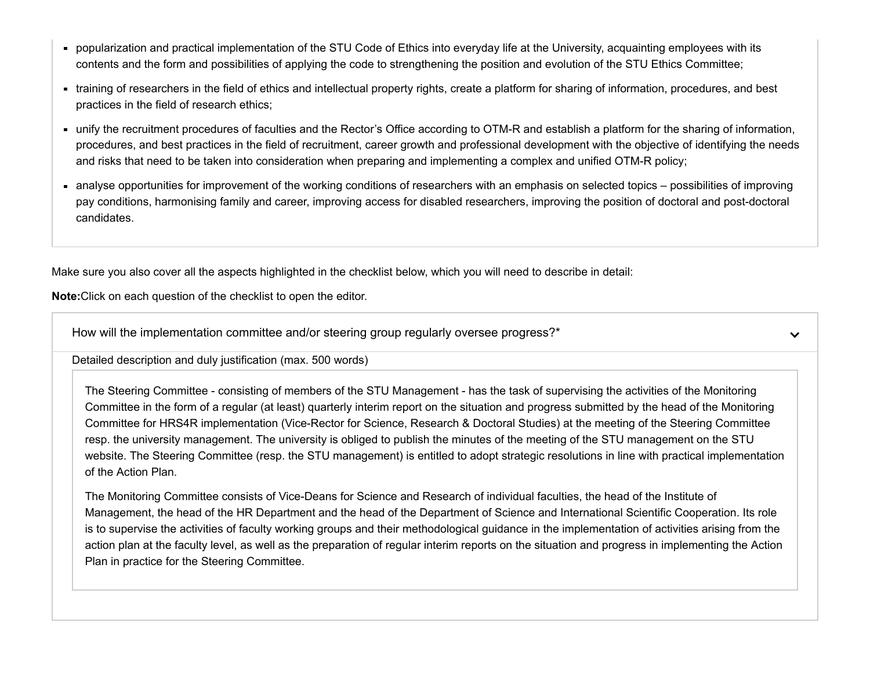- popularization and practical implementation of the STU Code of Ethics into everyday life at the University, acquainting employees with its contents and the form and possibilities of applying the code to strengthening the position and evolution of the STU Ethics Committee;
- training of researchers in the field of ethics and intellectual property rights, create a platform for sharing of information, procedures, and best practices in the field of research ethics;
- unify the recruitment procedures of faculties and the Rector's Office according to OTM-R and establish a platform for the sharing of information, procedures, and best practices in the field of recruitment, career growth and professional development with the objective of identifying the needs and risks that need to be taken into consideration when preparing and implementing a complex and unified OTM-R policy;
- analyse opportunities for improvement of the working conditions of researchers with an emphasis on selected topics possibilities of improving pay conditions, harmonising family and career, improving access for disabled researchers, improving the position of doctoral and post-doctoral candidates.

Make sure you also cover all the aspects highlighted in the checklist below, which you will need to describe in detail:

**Note:**Click on each question of the checklist to open the editor.

How will the implementation committee and/or steering group regularly oversee progress?<sup>\*</sup>

 $\checkmark$ 

Detailed description and duly justification (max. 500 words)

The Steering Committee - consisting of members of the STU Management - has the task of supervising the activities of the Monitoring Committee in the form of a regular (at least) quarterly interim report on the situation and progress submitted by the head of the Monitoring Committee for HRS4R implementation (Vice-Rector for Science, Research & Doctoral Studies) at the meeting of the Steering Committee resp. the university management. The university is obliged to publish the minutes of the meeting of the STU management on the STU website. The Steering Committee (resp. the STU management) is entitled to adopt strategic resolutions in line with practical implementation of the Action Plan.

The Monitoring Committee consists of Vice-Deans for Science and Research of individual faculties, the head of the Institute of Management, the head of the HR Department and the head of the Department of Science and International Scientific Cooperation. Its role is to supervise the activities of faculty working groups and their methodological guidance in the implementation of activities arising from the action plan at the faculty level, as well as the preparation of regular interim reports on the situation and progress in implementing the Action Plan in practice for the Steering Committee.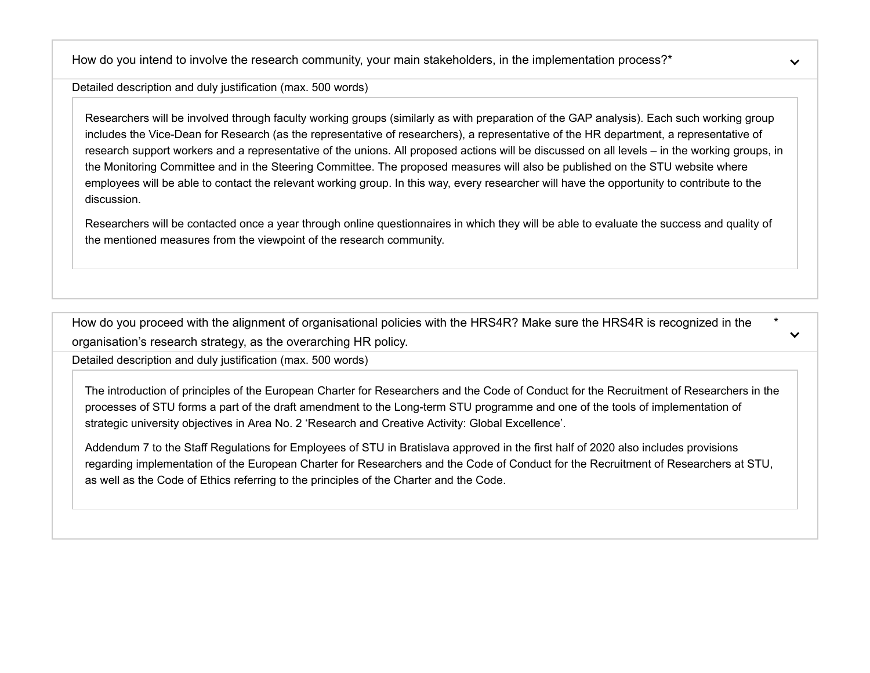How do you intend to involve the research community, your main stakeholders, in the implementation process?<sup>\*</sup>

Detailed description and duly justification (max. 500 words)

Researchers will be involved through faculty working groups (similarly as with preparation of the GAP analysis). Each such working group includes the Vice-Dean for Research (as the representative of researchers), a representative of the HR department, a representative of research support workers and a representative of the unions. All proposed actions will be discussed on all levels – in the working groups, in the Monitoring Committee and in the Steering Committee. The proposed measures will also be published on the STU website where employees will be able to contact the relevant working group. In this way, every researcher will have the opportunity to contribute to the discussion.

Researchers will be contacted once a year through online questionnaires in which they will be able to evaluate the success and quality of the mentioned measures from the viewpoint of the research community.

How do you proceed with the alignment of organisational policies with the HRS4R? Make sure the HRS4R is recognized in the organisation's research strategy, as the overarching HR policy. \*

Detailed description and duly justification (max. 500 words)

The introduction of principles of the European Charter for Researchers and the Code of Conduct for the Recruitment of Researchers in the processes of STU forms a part of the draft amendment to the Long-term STU programme and one of the tools of implementation of strategic university objectives in Area No. 2 'Research and Creative Activity: Global Excellence'.

Addendum 7 to the [Staff Regulations for Employees](https://www.stuba.sk/buxus/docs/stu/pracoviska/rektorat/odd_veda_vyskum/HRS4R/Staff_Regulations_of_STU.pdf) of STU in Bratislava approved in the first half of 2020 also includes provisions regarding implementation of the European Charter for Researchers and the Code of Conduct for the Recruitment of Researchers at STU, as well as the Code of Ethics referring to the principles of the Charter and the Code.

 $\checkmark$ 

 $\checkmark$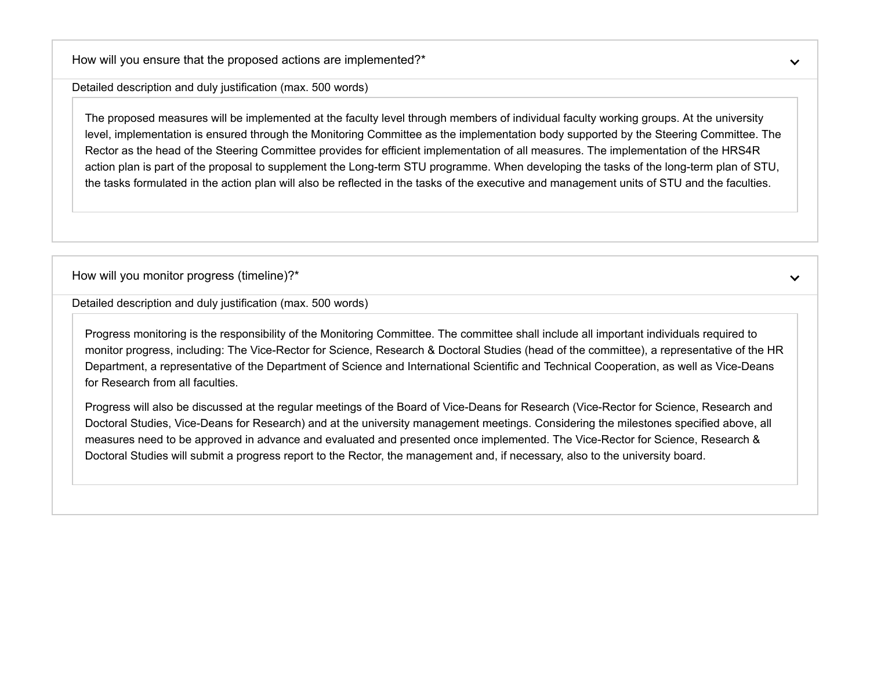How will you ensure that the proposed actions are implemented?\*

Detailed description and duly justification (max. 500 words)

The proposed measures will be implemented at the faculty level through members of individual faculty working groups. At the university level, implementation is ensured through the Monitoring Committee as the implementation body supported by the Steering Committee. The Rector as the head of the Steering Committee provides for efficient implementation of all measures. The implementation of the HRS4R action plan is part of the proposal to supplement the Long-term STU programme. When developing the tasks of the long-term plan of STU, the tasks formulated in the action plan will also be reflected in the tasks of the executive and management units of STU and the faculties.

How will you monitor progress (timeline)?\*

 $\checkmark$ 

Detailed description and duly justification (max. 500 words)

Progress monitoring is the responsibility of the Monitoring Committee. The committee shall include all important individuals required to monitor progress, including: The Vice-Rector for Science, Research & Doctoral Studies (head of the committee), a representative of the HR Department, a representative of the Department of Science and International Scientific and Technical Cooperation, as well as Vice-Deans for Research from all faculties.

Progress will also be discussed at the regular meetings of the Board of Vice-Deans for Research (Vice-Rector for Science, Research and Doctoral Studies, Vice-Deans for Research) and at the university management meetings. Considering the milestones specified above, all measures need to be approved in advance and evaluated and presented once implemented. The Vice-Rector for Science, Research & Doctoral Studies will submit a progress report to the Rector, the management and, if necessary, also to the university board.